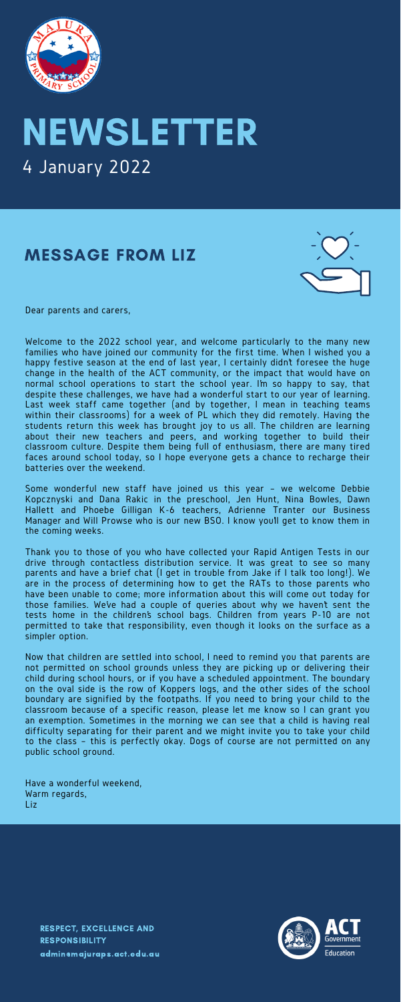### MESSAGE FROM LIZ





## NEWSLETTER 4 January 2022

RESPECT, EXCELLENCE AND RESPONSIBILITY [admin@majuraps.act.edu.au](mailto:admin@majuraps.act.edu.au)



Dear parents and carers,

Welcome to the 2022 school year, and welcome particularly to the many new families who have joined our community for the first time. When I wished you a happy festive season at the end of last year, I certainly didn't foresee the huge change in the health of the ACT community, or the impact that would have on normal school operations to start the school year. Im so happy to say, that despite these challenges, we have had a wonderful start to our year of learning. Last week staff came together (and by together, I mean in teaching teams within their classrooms) for a week of PL which they did remotely. Having the students return this week has brought joy to us all. The children are learning about their new teachers and peers, and working together to build their classroom culture. Despite them being full of enthusiasm, there are many tired faces around school today, so I hope everyone gets a chance to recharge their batteries over the weekend.

Some wonderful new staff have joined us this year – we welcome Debbie Kopcznyski and Dana Rakic in the preschool, Jen Hunt, Nina Bowles, Dawn Hallett and Phoebe Gilligan K-6 teachers, Adrienne Tranter our Business Manager and Will Prowse who is our new BSO. I know youll get to know them in the coming weeks.

Thank you to those of you who have collected your Rapid Antigen Tests in our drive through contactless distribution service. It was great to see so many parents and have a brief chat (I get in trouble from Jake if I talk too long!). We are in the process of determining how to get the RATs to those parents who have been unable to come; more information about this will come out today for those families. We've had a couple of queries about why we haven't sent the tests home in the children's school bags. Children from years P-10 are not permitted to take that responsibility, even though it looks on the surface as a simpler option.

Now that children are settled into school, I need to remind you that parents are not permitted on school grounds unless they are picking up or delivering their child during school hours, or if you have a scheduled appointment. The boundary on the oval side is the row of Koppers logs, and the other sides of the school boundary are signified by the footpaths. If you need to bring your child to the classroom because of a specific reason, please let me know so I can grant you an exemption. Sometimes in the morning we can see that a child is having real difficulty separating for their parent and we might invite you to take your child to the class – this is perfectly okay. Dogs of course are not permitted on any public school ground.

Have a wonderful weekend, Warm regards, Liz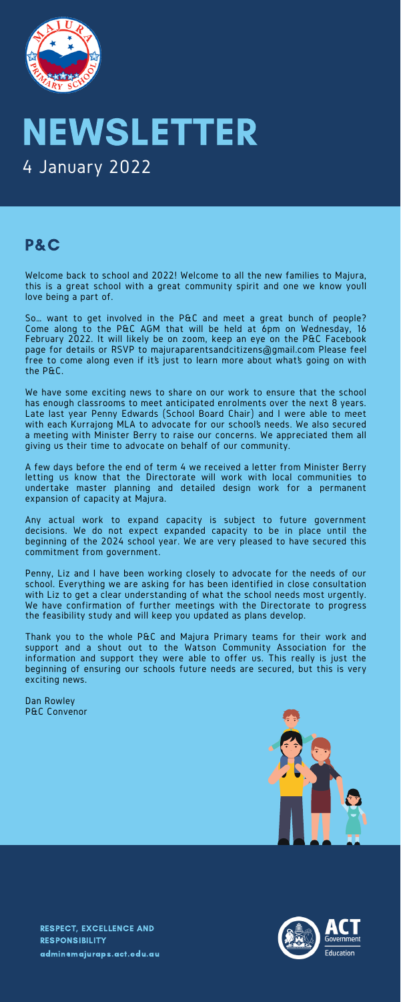#### P&C

Welcome back to school and 2022! Welcome to all the new families to Majura, this is a great school with a great community spirit and one we know you'll love being a part of.

So… want to get involved in the P&C and meet a great bunch of people? Come along to the P&C AGM that will be held at 6pm on Wednesday, 16 February 2022. It will likely be on zoom, keep an eye on the P&C Facebook page for details or RSVP to majuraparentsandcitizens@gmail.com Please feel free to come along even if it's just to learn more about what's going on with the P&C.

We have some exciting news to share on our work to ensure that the school has enough classrooms to meet anticipated enrolments over the next 8 years. Late last year Penny Edwards (School Board Chair) and I were able to meet with each Kurrajong MLA to advocate for our school's needs. We also secured a meeting with Minister Berry to raise our concerns. We appreciated them all giving us their time to advocate on behalf of our community.

A few days before the end of term 4 we received a letter from Minister Berry letting us know that the Directorate will work with local communities to undertake master planning and detailed design work for a permanent expansion of capacity at Majura.

Any actual work to expand capacity is subject to future government decisions. We do not expect expanded capacity to be in place until the beginning of the 2024 school year. We are very pleased to have secured this commitment from government.

Penny, Liz and I have been working closely to advocate for the needs of our school. Everything we are asking for has been identified in close consultation with Liz to get a clear understanding of what the school needs most urgently. We have confirmation of further meetings with the Directorate to progress the feasibility study and will keep you updated as plans develop.

Thank you to the whole P&C and Majura Primary teams for their work and support and a shout out to the Watson Community Association for the information and support they were able to offer us. This really is just the beginning of ensuring our schools future needs are secured, but this is very exciting news.

Dan Rowley P&C Convenor





# NEWSLETTER 4 January 2022

RESPECT, EXCELLENCE AND RESPONSIBILITY [admin@majuraps.act.edu.au](mailto:admin@majuraps.act.edu.au)